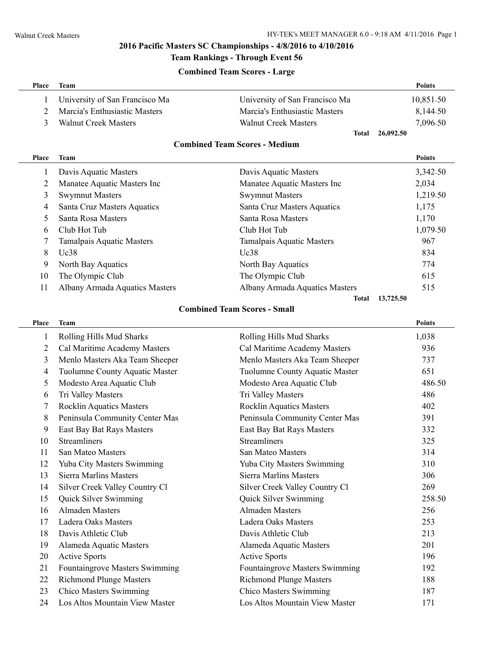### **2016 Pacific Masters SC Championships - 4/8/2016 to 4/10/2016**

## **Team Rankings - Through Event 56**

#### **Combined Team Scores - Large**

| Place                                | Team                            |                                     | Points        |  |
|--------------------------------------|---------------------------------|-------------------------------------|---------------|--|
| 1                                    | University of San Francisco Ma  | University of San Francisco Ma      | 10,851.50     |  |
| $\overline{2}$                       | Marcia's Enthusiastic Masters   | Marcia's Enthusiastic Masters       | 8,144.50      |  |
| 3                                    | <b>Walnut Creek Masters</b>     | <b>Walnut Creek Masters</b>         | 7,096.50      |  |
|                                      |                                 | 26,092.50<br><b>Total</b>           |               |  |
| <b>Combined Team Scores - Medium</b> |                                 |                                     |               |  |
| Place                                | Team                            |                                     | <b>Points</b> |  |
| 1                                    | Davis Aquatic Masters           | Davis Aquatic Masters               | 3,342.50      |  |
| 2                                    | Manatee Aquatic Masters Inc     | Manatee Aquatic Masters Inc         | 2,034         |  |
| 3                                    | <b>Swymnut Masters</b>          | <b>Swymnut Masters</b>              | 1,219.50      |  |
| 4                                    | Santa Cruz Masters Aquatics     | Santa Cruz Masters Aquatics         | 1,175         |  |
| 5                                    | Santa Rosa Masters              | Santa Rosa Masters                  | 1,170         |  |
| 6                                    | Club Hot Tub                    | Club Hot Tub                        | 1,079.50      |  |
| 7                                    | Tamalpais Aquatic Masters       | Tamalpais Aquatic Masters           | 967           |  |
| 8                                    | Uc38                            | Uc38                                | 834           |  |
| 9                                    | North Bay Aquatics              | North Bay Aquatics                  | 774           |  |
| 10                                   | The Olympic Club                | The Olympic Club                    | 615           |  |
| 11                                   | Albany Armada Aquatics Masters  | Albany Armada Aquatics Masters      | 515           |  |
|                                      |                                 | 13,725.50<br>Total                  |               |  |
|                                      |                                 | <b>Combined Team Scores - Small</b> |               |  |
| Place                                | <b>Team</b>                     |                                     | <b>Points</b> |  |
| 1                                    | Rolling Hills Mud Sharks        | Rolling Hills Mud Sharks            | 1,038         |  |
| 2                                    | Cal Maritime Academy Masters    | Cal Maritime Academy Masters        | 936           |  |
| 3                                    | Menlo Masters Aka Team Sheeper  | Menlo Masters Aka Team Sheeper      | 737           |  |
| 4                                    | Tuolumne County Aquatic Master  | Tuolumne County Aquatic Master      | 651           |  |
| 5                                    | Modesto Area Aquatic Club       | Modesto Area Aquatic Club           | 486.50        |  |
| 6                                    | Tri Valley Masters              | Tri Valley Masters                  | 486           |  |
| 7                                    | <b>Rocklin Aquatics Masters</b> | <b>Rocklin Aquatics Masters</b>     | 402           |  |
| 8                                    | Peninsula Community Center Mas  | Peninsula Community Center Mas      | 391           |  |
| 9                                    | East Bay Bat Rays Masters       | East Bay Bat Rays Masters           | 332           |  |
| 10                                   | <b>Streamliners</b>             | <b>Streamliners</b>                 | 325           |  |
| 11                                   | San Mateo Masters               | San Mateo Masters                   | 314           |  |
| 12                                   | Yuba City Masters Swimming      | Yuba City Masters Swimming          | 310           |  |
| 13                                   | Sierra Marlins Masters          | Sierra Marlins Masters              | 306           |  |
| 14                                   | Silver Creek Valley Country Cl  | Silver Creek Valley Country Cl      | 269           |  |
| 15                                   | Quick Silver Swimming           | Quick Silver Swimming               | 258.50        |  |
| 16                                   | <b>Almaden Masters</b>          | <b>Almaden Masters</b>              | 256           |  |
| 17                                   | <b>Ladera Oaks Masters</b>      | Ladera Oaks Masters                 | 253           |  |
| 18                                   | Davis Athletic Club             | Davis Athletic Club                 | 213           |  |
| 19                                   | Alameda Aquatic Masters         | Alameda Aquatic Masters             | 201           |  |
| 20                                   | <b>Active Sports</b>            | <b>Active Sports</b>                | 196           |  |
| 21                                   | Fountaingrove Masters Swimming  | Fountaingrove Masters Swimming      | 192           |  |
| 22                                   | <b>Richmond Plunge Masters</b>  | <b>Richmond Plunge Masters</b>      | 188           |  |
| 23                                   | <b>Chico Masters Swimming</b>   | <b>Chico Masters Swimming</b>       | 187           |  |
| 24                                   | Los Altos Mountain View Master  | Los Altos Mountain View Master      | 171           |  |